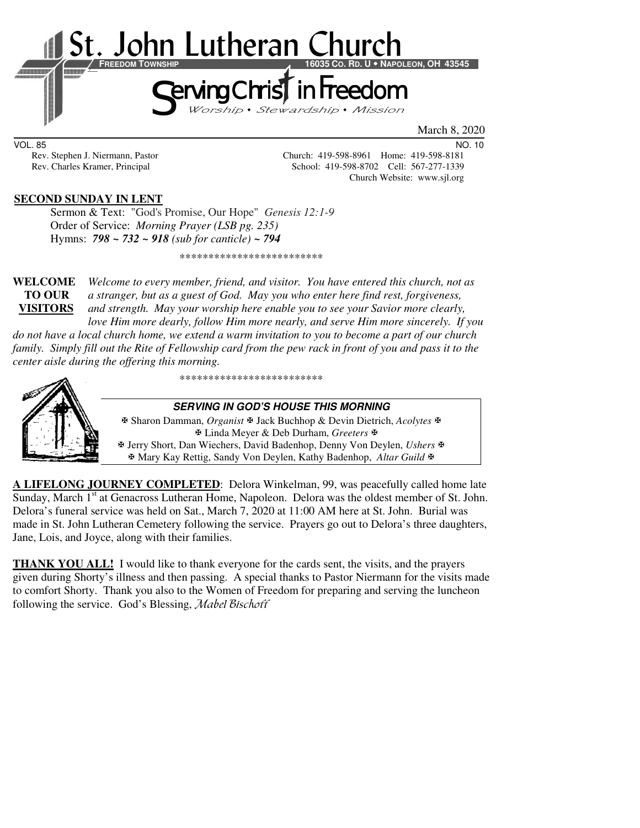

VOL. 85 NO. 10

Rev. Stephen J. Niermann, Pastor Church: 419-598-8961 Home: 419-598-8181 Rev. Charles Kramer, Principal School: 419-598-8702 Cell: 567-277-1339 Church Website: www.sjl.org

## **SECOND SUNDAY IN LENT**

 Sermon & Text: "God's Promise, Our Hope" *Genesis 12:1-9* Order of Service: *Morning Prayer (LSB pg. 235)* Hymns: *798 ~ 732 ~ 918 (sub for canticle) ~ 794*

\*\*\*\*\*\*\*\*\*\*\*\*\*\*\*\*\*\*\*\*\*\*\*\*\*

**WELCOME** *Welcome to every member, friend, and visitor. You have entered this church, not as* **TO OUR** *a stranger, but as a guest of God. May you who enter here find rest, forgiveness,* **VISITORS** *and strength. May your worship here enable you to see your Savior more clearly, love Him more dearly, follow Him more nearly, and serve Him more sincerely. If you* 

*do not have a local church home, we extend a warm invitation to you to become a part of our church family. Simply fill out the Rite of Fellowship card from the pew rack in front of you and pass it to the center aisle during the offering this morning.* 

\*\*\*\*\*\*\*\*\*\*\*\*\*\*\*\*\*\*\*\*\*\*\*\*\*



**SERVING IN GOD'S HOUSE THIS MORNING** 

 Sharon Damman, *Organist* Jack Buchhop & Devin Dietrich, *Acolytes* Linda Meyer & Deb Durham, *Greeters* Jerry Short, Dan Wiechers, David Badenhop, Denny Von Deylen, *Ushers* Mary Kay Rettig, Sandy Von Deylen, Kathy Badenhop, *Altar Guild*

**A LIFELONG JOURNEY COMPLETED**: Delora Winkelman, 99, was peacefully called home late Sunday, March 1<sup>st</sup> at Genacross Lutheran Home, Napoleon. Delora was the oldest member of St. John. Delora's funeral service was held on Sat., March 7, 2020 at 11:00 AM here at St. John. Burial was made in St. John Lutheran Cemetery following the service. Prayers go out to Delora's three daughters, Jane, Lois, and Joyce, along with their families.

**THANK YOU ALL!** I would like to thank everyone for the cards sent, the visits, and the prayers given during Shorty's illness and then passing. A special thanks to Pastor Niermann for the visits made to comfort Shorty. Thank you also to the Women of Freedom for preparing and serving the luncheon following the service. God's Blessing, Mabel Bischoff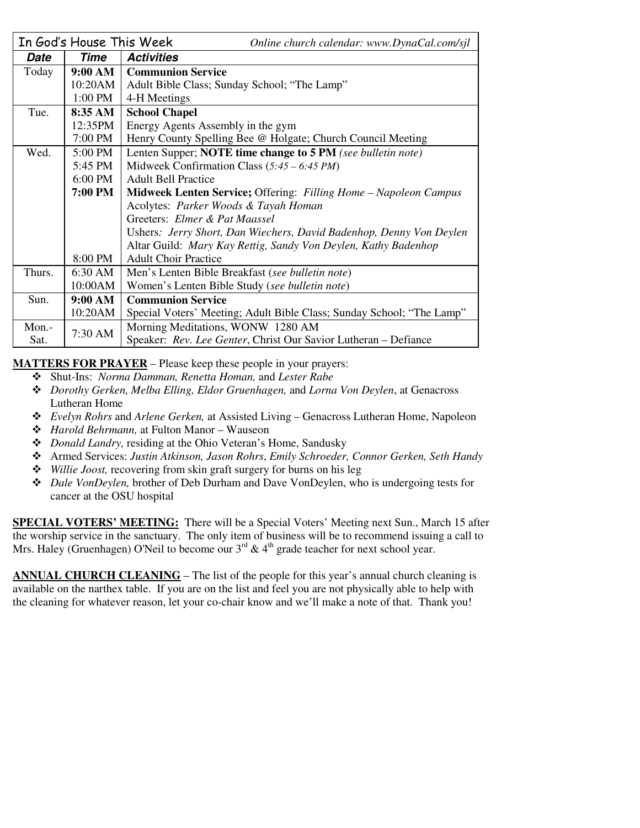|        | In God's House This Week | Online church calendar: www.DynaCal.com/sjl                           |  |  |  |
|--------|--------------------------|-----------------------------------------------------------------------|--|--|--|
| Date   | Time                     | <b>Activities</b>                                                     |  |  |  |
| Today  | 9:00 AM                  | <b>Communion Service</b>                                              |  |  |  |
|        | 10:20AM                  | Adult Bible Class; Sunday School; "The Lamp"                          |  |  |  |
|        | 1:00 PM                  | 4-H Meetings                                                          |  |  |  |
| Tue.   | 8:35 AM                  | <b>School Chapel</b>                                                  |  |  |  |
|        | 12:35PM                  | Energy Agents Assembly in the gym                                     |  |  |  |
|        | 7:00 PM                  | Henry County Spelling Bee @ Holgate; Church Council Meeting           |  |  |  |
| Wed.   | 5:00 PM                  | Lenten Supper; NOTE time change to 5 PM (see bulletin note)           |  |  |  |
|        | 5:45 PM                  | Midweek Confirmation Class $(5:45 - 6:45 PM)$                         |  |  |  |
|        | 6:00 PM                  | <b>Adult Bell Practice</b>                                            |  |  |  |
|        | 7:00 PM                  | Midweek Lenten Service; Offering: Filling Home - Napoleon Campus      |  |  |  |
|        |                          | Acolytes: Parker Woods & Tayah Homan                                  |  |  |  |
|        |                          | Greeters: Elmer & Pat Maassel                                         |  |  |  |
|        |                          | Ushers: Jerry Short, Dan Wiechers, David Badenhop, Denny Von Deylen   |  |  |  |
|        |                          | Altar Guild: Mary Kay Rettig, Sandy Von Deylen, Kathy Badenhop        |  |  |  |
|        | 8:00 PM                  | <b>Adult Choir Practice</b>                                           |  |  |  |
| Thurs. | 6:30 AM                  | Men's Lenten Bible Breakfast (see bulletin note)                      |  |  |  |
|        | 10:00AM                  | Women's Lenten Bible Study (see bulletin note)                        |  |  |  |
| Sun.   | 9:00 AM                  | <b>Communion Service</b>                                              |  |  |  |
|        | 10:20AM                  | Special Voters' Meeting; Adult Bible Class; Sunday School; "The Lamp" |  |  |  |
| Mon.-  | 7:30 AM                  | Morning Meditations, WONW 1280 AM                                     |  |  |  |
| Sat.   |                          | Speaker: Rev. Lee Genter, Christ Our Savior Lutheran – Defiance       |  |  |  |

#### **MATTERS FOR PRAYER** – Please keep these people in your prayers:

- Shut-Ins: *Norma Damman, Renetta Homan,* and *Lester Rabe*
- *Dorothy Gerken, Melba Elling, Eldor Gruenhagen,* and *Lorna Von Deylen*, at Genacross Lutheran Home
- *Evelyn Rohrs* and *Arlene Gerken,* at Assisted Living Genacross Lutheran Home, Napoleon
- *Harold Behrmann,* at Fulton Manor Wauseon
- *Donald Landry,* residing at the Ohio Veteran's Home, Sandusky
- Armed Services: *Justin Atkinson, Jason Rohrs*, *Emily Schroeder, Connor Gerken, Seth Handy*
- *Willie Joost,* recovering from skin graft surgery for burns on his leg
- *Dale VonDeylen,* brother of Deb Durham and Dave VonDeylen, who is undergoing tests for cancer at the OSU hospital

**SPECIAL VOTERS' MEETING:** There will be a Special Voters' Meeting next Sun., March 15 after the worship service in the sanctuary. The only item of business will be to recommend issuing a call to Mrs. Haley (Gruenhagen) O'Neil to become our  $3<sup>rd</sup>$  & 4<sup>th</sup> grade teacher for next school year.

**ANNUAL CHURCH CLEANING** – The list of the people for this year's annual church cleaning is available on the narthex table. If you are on the list and feel you are not physically able to help with the cleaning for whatever reason, let your co-chair know and we'll make a note of that. Thank you!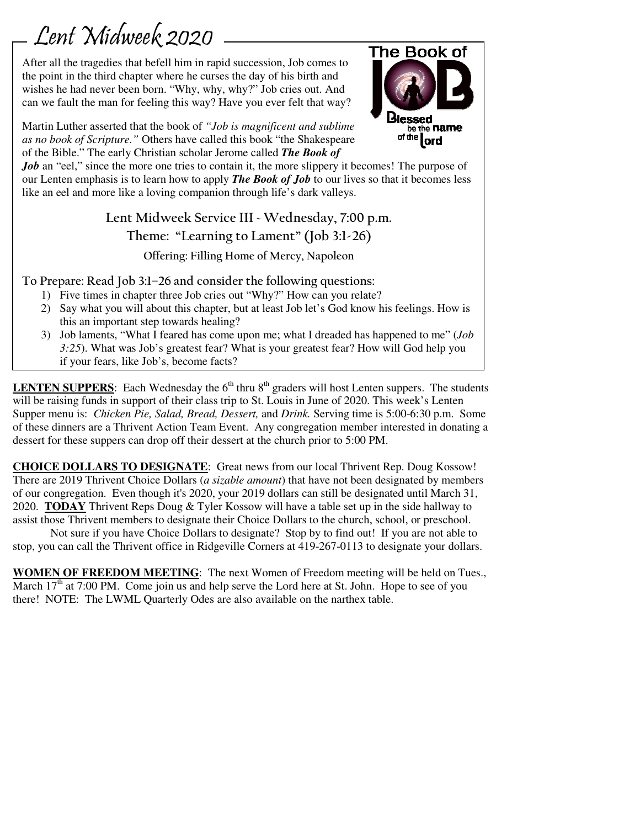# Lent Midweek 2020

After all the tragedies that befell him in rapid succession, Job comes to the point in the third chapter where he curses the day of his birth and wishes he had never been born. "Why, why, why?" Job cries out. And can we fault the man for feeling this way? Have you ever felt that way?



Martin Luther asserted that the book of *"Job is magnificent and sublime as no book of Scripture."* Others have called this book "the Shakespeare of the Bible." The early Christian scholar Jerome called *The Book of*

*Job* an "eel," since the more one tries to contain it, the more slippery it becomes! The purpose of our Lenten emphasis is to learn how to apply *The Book of Job* to our lives so that it becomes less like an eel and more like a loving companion through life's dark valleys.

# **Lent Midweek Service III ~ Wednesday, 7:00 p.m. Theme: "Learning to Lament" (Job 3:1-26) Offering: Filling Home of Mercy, Napoleon**

**To Prepare: Read Job 3:1–26 and consider the following questions:** 

- 1) Five times in chapter three Job cries out "Why?" How can you relate?
- 2) Say what you will about this chapter, but at least Job let's God know his feelings. How is this an important step towards healing?
- 3) Job laments, "What I feared has come upon me; what I dreaded has happened to me" (*Job 3:25*). What was Job's greatest fear? What is your greatest fear? How will God help you if your fears, like Job's, become facts?

**LENTEN SUPPERS:** Each Wednesday the  $6<sup>th</sup>$  thru  $8<sup>th</sup>$  graders will host Lenten suppers. The students will be raising funds in support of their class trip to St. Louis in June of 2020. This week's Lenten Supper menu is: *Chicken Pie, Salad, Bread, Dessert,* and *Drink.* Serving time is 5:00-6:30 p.m. Some of these dinners are a Thrivent Action Team Event. Any congregation member interested in donating a dessert for these suppers can drop off their dessert at the church prior to 5:00 PM.

**CHOICE DOLLARS TO DESIGNATE**: Great news from our local Thrivent Rep. Doug Kossow! There are 2019 Thrivent Choice Dollars (*a sizable amount*) that have not been designated by members of our congregation. Even though it's 2020, your 2019 dollars can still be designated until March 31, 2020. **TODAY** Thrivent Reps Doug & Tyler Kossow will have a table set up in the side hallway to assist those Thrivent members to designate their Choice Dollars to the church, school, or preschool.

Not sure if you have Choice Dollars to designate? Stop by to find out! If you are not able to stop, you can call the Thrivent office in Ridgeville Corners at 419-267-0113 to designate your dollars.

**WOMEN OF FREEDOM MEETING**: The next Women of Freedom meeting will be held on Tues., March  $17<sup>th</sup>$  at 7:00 PM. Come join us and help serve the Lord here at St. John. Hope to see of you there! NOTE: The LWML Quarterly Odes are also available on the narthex table.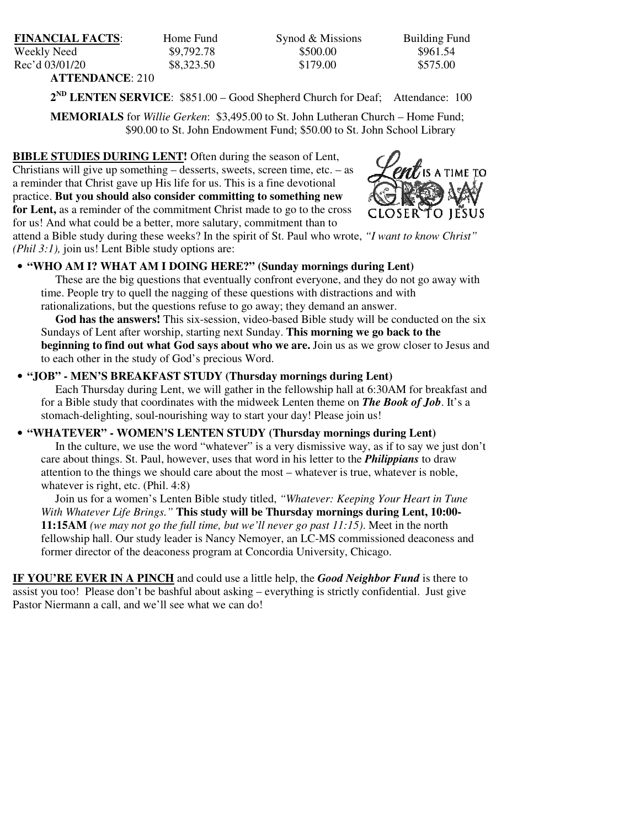| <b>FINANCIAL FACTS:</b> | Home Fund  | Synod & Missions | <b>Building Fund</b> |  |
|-------------------------|------------|------------------|----------------------|--|
| Weekly Need             | \$9,792.78 | \$500.00         | \$961.54             |  |
| Rec'd 03/01/20          | \$8,323.50 | \$179.00         | \$575.00             |  |
| <b>ATTENDANCE: 210</b>  |            |                  |                      |  |

2<sup>ND</sup> LENTEN SERVICE: \$851.00 – Good Shepherd Church for Deaf; Attendance: 100

**MEMORIALS** for *Willie Gerken*: \$3,495.00 to St. John Lutheran Church – Home Fund; \$90.00 to St. John Endowment Fund; \$50.00 to St. John School Library

**BIBLE STUDIES DURING LENT!** Often during the season of Lent, Christians will give up something  $-$  desserts, sweets, screen time, etc.  $-$  as a reminder that Christ gave up His life for us. This is a fine devotional practice. **But you should also consider committing to something new for Lent,** as a reminder of the commitment Christ made to go to the cross for us! And what could be a better, more salutary, commitment than to



attend a Bible study during these weeks? In the spirit of St. Paul who wrote, *"I want to know Christ" (Phil 3:1),* join us! Lent Bible study options are:

### • **"WHO AM I? WHAT AM I DOING HERE?" (Sunday mornings during Lent)**

 These are the big questions that eventually confront everyone, and they do not go away with time. People try to quell the nagging of these questions with distractions and with rationalizations, but the questions refuse to go away; they demand an answer.

 **God has the answers!** This six-session, video-based Bible study will be conducted on the six Sundays of Lent after worship, starting next Sunday. **This morning we go back to the beginning to find out what God says about who we are.** Join us as we grow closer to Jesus and to each other in the study of God's precious Word.

#### • **"JOB" - MEN'S BREAKFAST STUDY (Thursday mornings during Lent)**

 Each Thursday during Lent, we will gather in the fellowship hall at 6:30AM for breakfast and for a Bible study that coordinates with the midweek Lenten theme on *The Book of Job*. It's a stomach-delighting, soul-nourishing way to start your day! Please join us!

#### • **"WHATEVER" - WOMEN'S LENTEN STUDY (Thursday mornings during Lent)**

 In the culture, we use the word "whatever" is a very dismissive way, as if to say we just don't care about things. St. Paul, however, uses that word in his letter to the *Philippians* to draw attention to the things we should care about the most – whatever is true, whatever is noble, whatever is right, etc. (Phil. 4:8)

 Join us for a women's Lenten Bible study titled, *"Whatever: Keeping Your Heart in Tune With Whatever Life Brings."* **This study will be Thursday mornings during Lent, 10:00- 11:15AM** *(we may not go the full time, but we'll never go past 11:15)*. Meet in the north fellowship hall. Our study leader is Nancy Nemoyer, an LC-MS commissioned deaconess and former director of the deaconess program at Concordia University, Chicago.

**IF YOU'RE EVER IN A PINCH** and could use a little help, the *Good Neighbor Fund* is there to assist you too! Please don't be bashful about asking – everything is strictly confidential. Just give Pastor Niermann a call, and we'll see what we can do!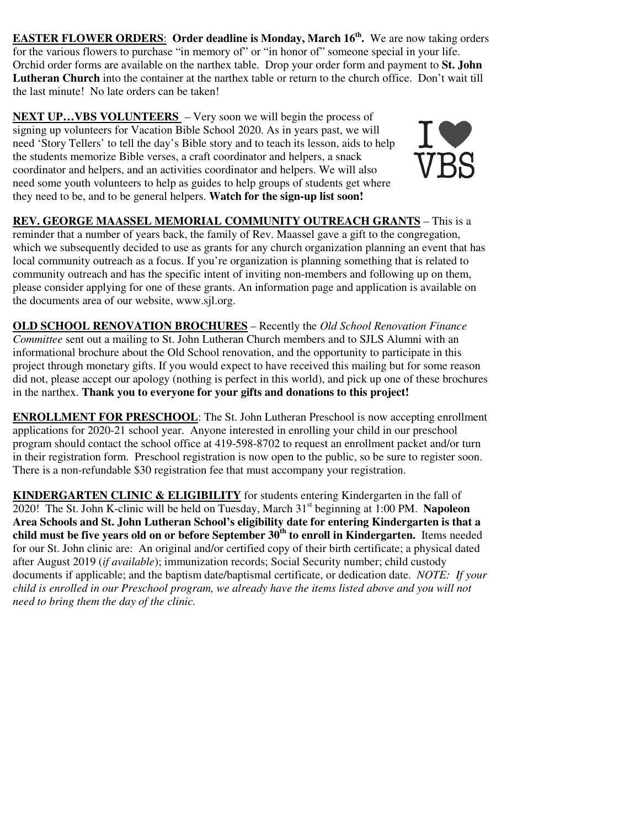**EASTER FLOWER ORDERS**: **Order deadline is Monday, March 16th .** We are now taking orders for the various flowers to purchase "in memory of" or "in honor of" someone special in your life. Orchid order forms are available on the narthex table. Drop your order form and payment to **St. John Lutheran Church** into the container at the narthex table or return to the church office. Don't wait till the last minute! No late orders can be taken!

**NEXT UP...VBS VOLUNTEERS** – Very soon we will begin the process of signing up volunteers for Vacation Bible School 2020. As in years past, we will need 'Story Tellers' to tell the day's Bible story and to teach its lesson, aids to help the students memorize Bible verses, a craft coordinator and helpers, a snack coordinator and helpers, and an activities coordinator and helpers. We will also need some youth volunteers to help as guides to help groups of students get where they need to be, and to be general helpers. **Watch for the sign-up list soon!**



**REV. GEORGE MAASSEL MEMORIAL COMMUNITY OUTREACH GRANTS** – This is a reminder that a number of years back, the family of Rev. Maassel gave a gift to the congregation, which we subsequently decided to use as grants for any church organization planning an event that has local community outreach as a focus. If you're organization is planning something that is related to community outreach and has the specific intent of inviting non-members and following up on them, please consider applying for one of these grants. An information page and application is available on the documents area of our website, www.sjl.org.

**OLD SCHOOL RENOVATION BROCHURES** – Recently the *Old School Renovation Finance Committee* sent out a mailing to St. John Lutheran Church members and to SJLS Alumni with an informational brochure about the Old School renovation, and the opportunity to participate in this project through monetary gifts. If you would expect to have received this mailing but for some reason did not, please accept our apology (nothing is perfect in this world), and pick up one of these brochures in the narthex. **Thank you to everyone for your gifts and donations to this project!** 

**ENROLLMENT FOR PRESCHOOL**: The St. John Lutheran Preschool is now accepting enrollment applications for 2020-21 school year. Anyone interested in enrolling your child in our preschool program should contact the school office at 419-598-8702 to request an enrollment packet and/or turn in their registration form. Preschool registration is now open to the public, so be sure to register soon. There is a non-refundable \$30 registration fee that must accompany your registration.

**KINDERGARTEN CLINIC & ELIGIBILITY** for students entering Kindergarten in the fall of 2020! The St. John K-clinic will be held on Tuesday, March 31st beginning at 1:00 PM. **Napoleon Area Schools and St. John Lutheran School's eligibility date for entering Kindergarten is that a child must be five years old on or before September 30th to enroll in Kindergarten.** Items needed for our St. John clinic are: An original and/or certified copy of their birth certificate; a physical dated after August 2019 (*if available*); immunization records; Social Security number; child custody documents if applicable; and the baptism date/baptismal certificate, or dedication date. *NOTE: If your child is enrolled in our Preschool program, we already have the items listed above and you will not need to bring them the day of the clinic.*